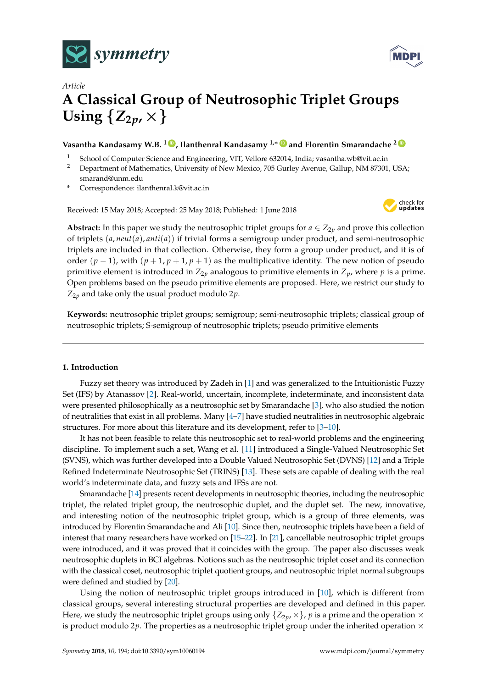



# *Article* **A Classical Group of Neutrosophic Triplet Groups** Using  $\{Z_{2p}$ ,  $\times\}$

## **Vasantha Kandasamy W.B. <sup>1</sup> [ID](https://orcid.org/0000-0001-9832-1475) , Ilanthenral Kandasamy 1,**<sup>∗</sup> **[ID](https://orcid.org/0000-0003-4826-9466) and Florentin Smarandache <sup>2</sup> [ID](https://orcid.org/0000-0002-5560-5926)**

- <sup>1</sup> School of Computer Science and Engineering, VIT, Vellore 632014, India; vasantha.wb@vit.ac.in
- <sup>2</sup> Department of Mathematics, University of New Mexico, 705 Gurley Avenue, Gallup, NM 87301, USA; smarand@unm.edu
- **\*** Correspondence: ilanthenral.k@vit.ac.in

Received: 15 May 2018; Accepted: 25 May 2018; Published: 1 June 2018



**Abstract:** In this paper we study the neutrosophic triplet groups for  $a \in Z_{2p}$  and prove this collection of triplets (*a*, *neut*(*a*), *anti*(*a*)) if trivial forms a semigroup under product, and semi-neutrosophic triplets are included in that collection. Otherwise, they form a group under product, and it is of order  $(p-1)$ , with  $(p+1, p+1, p+1)$  as the multiplicative identity. The new notion of pseudo primitive element is introduced in  $Z_{2p}$  analogous to primitive elements in  $Z_p$ , where  $p$  is a prime. Open problems based on the pseudo primitive elements are proposed. Here, we restrict our study to  $Z_{2p}$  and take only the usual product modulo  $2p$ .

**Keywords:** neutrosophic triplet groups; semigroup; semi-neutrosophic triplets; classical group of neutrosophic triplets; S-semigroup of neutrosophic triplets; pseudo primitive elements

#### **1. Introduction**

Fuzzy set theory was introduced by Zadeh in [\[1\]](#page-6-0) and was generalized to the Intuitionistic Fuzzy Set (IFS) by Atanassov [\[2\]](#page-6-1). Real-world, uncertain, incomplete, indeterminate, and inconsistent data were presented philosophically as a neutrosophic set by Smarandache [\[3\]](#page-6-2), who also studied the notion of neutralities that exist in all problems. Many [\[4](#page-6-3)[–7\]](#page-6-4) have studied neutralities in neutrosophic algebraic structures. For more about this literature and its development, refer to [\[3–](#page-6-2)[10\]](#page-7-0).

It has not been feasible to relate this neutrosophic set to real-world problems and the engineering discipline. To implement such a set, Wang et al. [\[11\]](#page-7-1) introduced a Single-Valued Neutrosophic Set (SVNS), which was further developed into a Double Valued Neutrosophic Set (DVNS) [\[12\]](#page-7-2) and a Triple Refined Indeterminate Neutrosophic Set (TRINS) [\[13\]](#page-7-3). These sets are capable of dealing with the real world's indeterminate data, and fuzzy sets and IFSs are not.

Smarandache [\[14\]](#page-7-4) presents recent developments in neutrosophic theories, including the neutrosophic triplet, the related triplet group, the neutrosophic duplet, and the duplet set. The new, innovative, and interesting notion of the neutrosophic triplet group, which is a group of three elements, was introduced by Florentin Smarandache and Ali [\[10\]](#page-7-0). Since then, neutrosophic triplets have been a field of interest that many researchers have worked on [\[15–](#page-7-5)[22\]](#page-7-6). In [\[21\]](#page-7-7), cancellable neutrosophic triplet groups were introduced, and it was proved that it coincides with the group. The paper also discusses weak neutrosophic duplets in BCI algebras. Notions such as the neutrosophic triplet coset and its connection with the classical coset, neutrosophic triplet quotient groups, and neutrosophic triplet normal subgroups were defined and studied by [\[20\]](#page-7-8).

Using the notion of neutrosophic triplet groups introduced in [\[10\]](#page-7-0), which is different from classical groups, several interesting structural properties are developed and defined in this paper. Here, we study the neutrosophic triplet groups using only  $\{Z_{2p},\times\}$ , p is a prime and the operation  $\times$ is product modulo 2 $p$ . The properties as a neutrosophic triplet group under the inherited operation  $\times$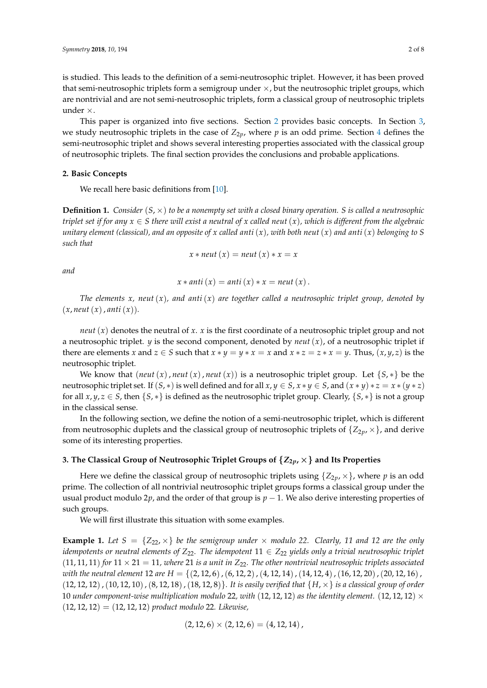is studied. This leads to the definition of a semi-neutrosophic triplet. However, it has been proved that semi-neutrosophic triplets form a semigroup under  $\times$ , but the neutrosophic triplet groups, which are nontrivial and are not semi-neutrosophic triplets, form a classical group of neutrosophic triplets under ×.

This paper is organized into five sections. Section [2](#page-1-0) provides basic concepts. In Section [3,](#page-1-1) we study neutrosophic triplets in the case of  $Z_{2p}$ , where  $p$  is an odd prime. Section [4](#page-5-0) defines the semi-neutrosophic triplet and shows several interesting properties associated with the classical group of neutrosophic triplets. The final section provides the conclusions and probable applications.

#### <span id="page-1-0"></span>**2. Basic Concepts**

We recall here basic definitions from [\[10\]](#page-7-0).

**Definition 1.** *Consider* (*S*, ×) *to be a nonempty set with a closed binary operation. S is called a neutrosophic triplet set if for any*  $x \in S$  *there will exist a neutral of*  $x$  *called neut*  $(x)$ *, which is different from the algebraic unitary element (classical), and an opposite of x called anti*(*x*)*, with both neut*(*x*) *and anti*(*x*) *belonging to S such that*

$$
x * \textit{neut} (x) = \textit{neut} (x) * x = x
$$

*and*

$$
x * anti(x) = anti(x) * x = neut(x).
$$

*The elements x, neut*(*x*)*, and anti*(*x*) *are together called a neutrosophic triplet group, denoted by*  $(x, \text{neut}(x), \text{anti}(x))$ .

*neut*(*x*) denotes the neutral of *x*. *x* is the first coordinate of a neutrosophic triplet group and not a neutrosophic triplet. *y* is the second component, denoted by *neut*(*x*), of a neutrosophic triplet if there are elements *x* and  $z \in S$  such that  $x * y = y * x = x$  and  $x * z = z * x = y$ . Thus,  $(x, y, z)$  is the neutrosophic triplet.

We know that  $(\textit{neut}(x), \textit{neut}(x), \textit{neut}(x))$  is a neutrosophic triplet group. Let  $\{S, *\}$  be the neutrosophic triplet set. If  $(S, *)$  is well defined and for all  $x, y \in S$ ,  $x * y \in S$ , and  $(x * y) * z = x * (y * z)$ for all  $x, y, z \in S$ , then  $\{S, *\}$  is defined as the neutrosophic triplet group. Clearly,  $\{S, *\}$  is not a group in the classical sense.

In the following section, we define the notion of a semi-neutrosophic triplet, which is different from neutrosophic duplets and the classical group of neutrosophic triplets of  $\{Z_{2p},\times\}$ , and derive some of its interesting properties.

#### <span id="page-1-1"></span>**3. The Classical Group of Neutrosophic Triplet Groups of**  $\{Z_{2p},\times\}$  **and Its Properties**

Here we define the classical group of neutrosophic triplets using  $\{Z_{2p},\times\}$ , where p is an odd prime. The collection of all nontrivial neutrosophic triplet groups forms a classical group under the usual product modulo 2*p*, and the order of that group is  $p - 1$ . We also derive interesting properties of such groups.

We will first illustrate this situation with some examples.

**Example 1.** Let  $S = \{Z_{22}, \times\}$  be the semigroup under  $\times$  modulo 22. Clearly, 11 and 12 are the only *idempotents or neutral elements of*  $Z_{22}$ . The *idempotent*  $11 \in Z_{22}$  *yields only a trivial neutrosophic triplet*  $(11, 11, 11)$  *for*  $11 \times 21 = 11$ *, where* 21 *is a unit in*  $Z_{22}$ *. The other nontrivial neutrosophic triplets associated with the neutral element* 12 *are H* = {(2, 12, 6),(6, 12, 2),(4, 12, 14),(14, 12, 4),(16, 12, 20),(20, 12, 16), (12, 12, 12),(10, 12, 10),(8, 12, 18),(18, 12, 8)}*. It is easily verified that* {*H*, ×} *is a classical group of order* 10 *under component-wise multiplication modulo* 22, with  $(12, 12, 12)$  *as the identity element.*  $(12, 12, 12) \times$ (12, 12, 12) = (12, 12, 12) *product modulo* 22*. Likewise,*

$$
(2,12,6)\times(2,12,6)=(4,12,14)
$$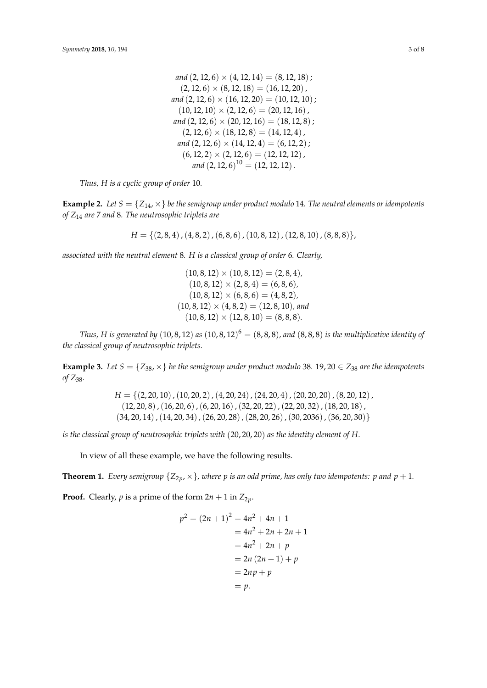and 
$$
(2, 12, 6) \times (4, 12, 14) = (8, 12, 18)
$$
;  
\n $(2, 12, 6) \times (8, 12, 18) = (16, 12, 20)$ ,  
\nand  $(2, 12, 6) \times (16, 12, 20) = (10, 12, 10)$ ;  
\n $(10, 12, 10) \times (2, 12, 6) = (20, 12, 16)$ ,  
\nand  $(2, 12, 6) \times (20, 12, 16) = (18, 12, 8)$ ;  
\n $(2, 12, 6) \times (18, 12, 8) = (14, 12, 4)$ ,  
\nand  $(2, 12, 6) \times (14, 12, 4) = (6, 12, 2)$ ;  
\n $(6, 12, 2) \times (2, 12, 6) = (12, 12, 12)$ ,  
\nand  $(2, 12, 6)^{10} = (12, 12, 12)$ .

*Thus, H is a cyclic group of order* 10*.*

**Example 2.** Let  $S = \{Z_{14}, \times\}$  be the semigroup under product modulo 14. The neutral elements or idempotents *of Z*<sup>14</sup> *are* 7 *and* 8*. The neutrosophic triplets are*

 $H = \{(2, 8, 4), (4, 8, 2), (6, 8, 6), (10, 8, 12), (12, 8, 10), (8, 8, 8)\},\$ 

*associated with the neutral element* 8*. H is a classical group of order* 6*. Clearly,*

 $(10, 8, 12) \times (10, 8, 12) = (2, 8, 4)$  $(10, 8, 12) \times (2, 8, 4) = (6, 8, 6)$  $(10, 8, 12) \times (6, 8, 6) = (4, 8, 2)$  $(10, 8, 12) \times (4, 8, 2) = (12, 8, 10)$ *, and*  $(10, 8, 12) \times (12, 8, 10) = (8, 8, 8).$ 

*Thus, H is generated by*  $(10, 8, 12)$  *as*  $(10, 8, 12)^6 = (8, 8, 8)$ *, and*  $(8, 8, 8)$  *is the multiplicative identity of the classical group of neutrosophic triplets.*

**Example 3.** Let  $S = \{Z_{38}, \times\}$  be the semigroup under product modulo 38. 19, 20  $\in Z_{38}$  are the idempotents *of Z*38*.*

> $H = \{(2, 20, 10), (10, 20, 2), (4, 20, 24), (24, 20, 4), (20, 20, 20), (8, 20, 12),$  $(12, 20, 8)$ , $(16, 20, 6)$ , $(6, 20, 16)$ , $(32, 20, 22)$ , $(22, 20, 32)$ , $(18, 20, 18)$ ,  $(34, 20, 14)$ ,  $(14, 20, 34)$ ,  $(26, 20, 28)$ ,  $(28, 20, 26)$ ,  $(30, 2036)$ ,  $(36, 20, 30)$ }

*is the classical group of neutrosophic triplets with* (20, 20, 20) *as the identity element of H.*

In view of all these example, we have the following results.

**Theorem 1.** *Every semigroup*  $\{Z_{2v},\times\}$ *, where p is an odd prime, has only two idempotents: p and p + 1.* 

**Proof.** Clearly, *p* is a prime of the form  $2n + 1$  in  $Z_{2n}$ .

$$
p2 = (2n + 1)2 = 4n2 + 4n + 1
$$
  
= 4n<sup>2</sup> + 2n + 2n + 1  
= 4n<sup>2</sup> + 2n + p  
= 2n (2n + 1) + p  
= 2np + p  
= p.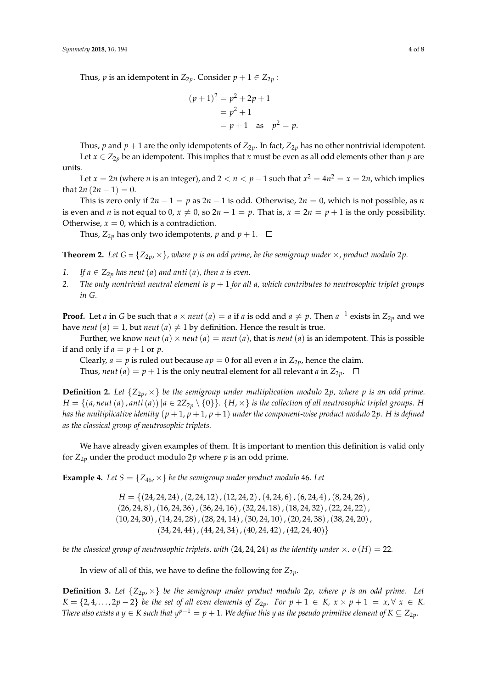Thus, *p* is an idempotent in  $Z_{2p}$ . Consider  $p + 1 \in Z_{2p}$ :

$$
(p+1)^2 = p^2 + 2p + 1
$$
  
= p<sup>2</sup> + 1  
= p + 1 as p<sup>2</sup> = p.

Thus, *p* and  $p + 1$  are the only idempotents of  $Z_{2p}$ . In fact,  $Z_{2p}$  has no other nontrivial idempotent. Let  $x \in Z_{2p}$  be an idempotent. This implies that *x* must be even as all odd elements other than *p* are units.

Let  $x = 2n$  (where *n* is an integer), and  $2 < n < p-1$  such that  $x^2 = 4n^2 = x = 2n$ , which implies that  $2n(2n - 1) = 0$ .

This is zero only if  $2n - 1 = p$  as  $2n - 1$  is odd. Otherwise,  $2n = 0$ , which is not possible, as *n* is even and *n* is not equal to 0,  $x \neq 0$ , so  $2n - 1 = p$ . That is,  $x = 2n = p + 1$  is the only possibility. Otherwise,  $x = 0$ , which is a contradiction.

Thus,  $Z_{2p}$  has only two idempotents, *p* and  $p + 1$ .  $\Box$ 

**Theorem 2.** *Let*  $G = \{Z_{2p}, \times\}$ *, where p is an odd prime, be the semigroup under*  $\times$ *, product modulo* 2*p*.

- *1. If*  $a \in Z_{2v}$  *has neut* (*a*) *and anti* (*a*)*, then a is even.*
- *2. The only nontrivial neutral element is p* + 1 *for all a, which contributes to neutrosophic triplet groups in G.*

**Proof.** Let *a* in *G* be such that *a* × *neut* (*a*) = *a* if *a* is odd and *a*  $\neq$  *p*. Then *a*<sup>-1</sup> exists in  $Z_{2p}$  and we have *neut* (*a*) = 1, but *neut* (*a*)  $\neq$  1 by definition. Hence the result is true.

Further, we know *neut* (*a*)  $\times$  *neut* (*a*) = *neut* (*a*), that is *neut* (*a*) is an idempotent. This is possible if and only if  $a = p + 1$  or  $p$ .

Clearly,  $a = p$  is ruled out because  $ap = 0$  for all even *a* in  $Z_{2p}$ , hence the claim.

Thus, *neut* (*a*) = *p* + 1 is the only neutral element for all relevant *a* in  $Z_{2p}$ .  $\square$ 

**Definition 2.** Let  $\{Z_{2p},\times\}$  be the semigroup under multiplication modulo 2p, where p is an odd prime. *H* = {(*a*, *neut* (*a*), *anti*(*a*))| $a \in 2Z_{2p} \setminus \{0\}$ . {*H*,  $\times$ } *is the collection of all neutrosophic triplet groups. H has the multiplicative identity* ( $p + 1$ ,  $p + 1$ ,  $p + 1$ ) *under the component-wise product modulo* 2 $p$ . *H is defined as the classical group of neutrosophic triplets.*

We have already given examples of them. It is important to mention this definition is valid only for  $Z_{2p}$  under the product modulo  $2p$  where  $p$  is an odd prime.

**Example 4.** Let  $S = \{Z_{46}, \times\}$  be the semigroup under product modulo 46. Let

*H* = {(24, 24, 24),(2, 24, 12),(12, 24, 2),(4, 24, 6),(6, 24, 4),(8, 24, 26),  $(26, 24, 8)$ ,  $(16, 24, 36)$ ,  $(36, 24, 16)$ ,  $(32, 24, 18)$ ,  $(18, 24, 32)$ ,  $(22, 24, 22)$ ,  $(10, 24, 30)$ , $(14, 24, 28)$ , $(28, 24, 14)$ , $(30, 24, 10)$ , $(20, 24, 38)$ , $(38, 24, 20)$ ,  $(34, 24, 44)$ ,  $(44, 24, 34)$ ,  $(40, 24, 42)$ ,  $(42, 24, 40)$ 

*be the classical group of neutrosophic triplets, with* (24, 24, 24) *as the identity under*  $\times$ *.*  $o(H) = 22$ *.* 

In view of all of this, we have to define the following for  $Z_{2p}$ .

**Definition 3.** Let  $\{Z_{2p},\times\}$  be the semigroup under product modulo 2p, where p is an odd prime. Let  $K = \{2, 4, \ldots, 2p - 2\}$  *be the set of all even elements of*  $Z_{2p}$ *. For*  $p + 1 \in K$ *,*  $x \times p + 1 = x, \forall x \in K$ . *There also exists a y*  $\in$  *K such that y<sup>p-1</sup>* = *p* + 1*.* We define this *y* as the pseudo primitive element of *K*  $\subseteq$  *Z*<sub>2*p*</sub>*.*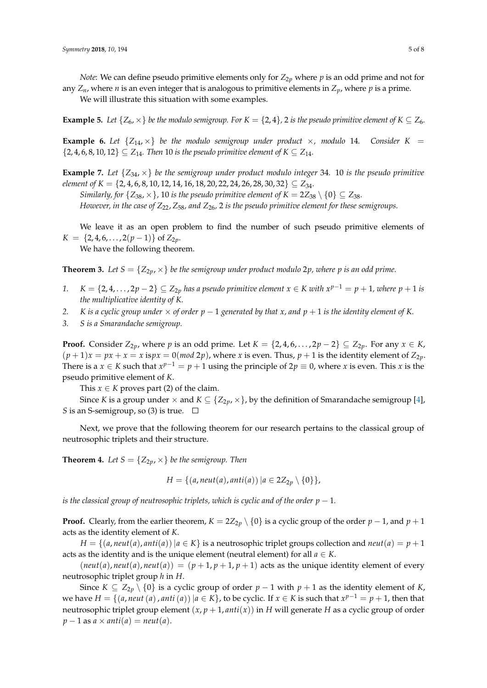*Note*: We can define pseudo primitive elements only for  $Z_{2p}$  where  $p$  is an odd prime and not for any  $Z_n$ , where *n* is an even integer that is analogous to primitive elements in  $Z_p$ , where *p* is a prime.

We will illustrate this situation with some examples.

**Example 5.** Let  $\{Z_6, \times\}$  be the modulo semigroup. For  $K = \{2, 4\}$ , 2 is the pseudo primitive element of  $K \subseteq Z_6$ .

**Example 6.** Let  $\{Z_{14}, \times\}$  be the modulo semigroup under product  $\times$ , modulo 14. Consider  $K =$  $\{2, 4, 6, 8, 10, 12\} \subseteq Z_{14}$ . Then 10 is the pseudo primitive element of  $K \subseteq Z_{14}$ .

**Example 7.** *Let* {*Z*34, ×} *be the semigroup under product modulo integer* 34*.* 10 *is the pseudo primitive element of K* = {2, 4, 6, 8, 10, 12, 14, 16, 18, 20, 22, 24, 26, 28, 30, 32} ⊆  $Z_{34}$ .

*Similarly, for*  $\{Z_{38}, \times\}$ , 10 *is the pseudo primitive element of*  $K = 2Z_{38} \setminus \{0\} \subseteq Z_{38}$ . *However, in the case of Z*22, *Z*58*, and Z*26*,* 2 *is the pseudo primitive element for these semigroups.*

We leave it as an open problem to find the number of such pseudo primitive elements of  $K = \{2, 4, 6, \ldots, 2(p-1)\}$  of  $Z_{2p}$ .

We have the following theorem.

**Theorem 3.** Let  $S = \{Z_{2p}, \times\}$  be the semigroup under product modulo 2p, where p is an odd prime.

- *I*.  $K = \{2, 4, ..., 2p 2\} \subseteq Z_{2p}$  *has a pseudo primitive element*  $x \in K$  *with*  $x^{p-1} = p + 1$ *, where*  $p + 1$  *is the multiplicative identity of K.*
- *2. K is a cyclic group under*  $\times$  *of order*  $p 1$  *generated by that x*, *and*  $p + 1$  *is the identity element of K*.
- *3. S is a Smarandache semigroup.*

**Proof.** Consider  $Z_{2p}$ , where *p* is an odd prime. Let *K* = {2,4,6, . . . , 2*p* − 2} ⊆  $Z_{2p}$ . For any *x* ∈ *K*,  $(p+1)x = px + x = x$  is $px = 0 \pmod{2p}$ , where *x* is even. Thus,  $p+1$  is the identity element of  $Z_{2p}$ . There is a  $x \in K$  such that  $x^{p-1} = p + 1$  using the principle of  $2p \equiv 0$ , where *x* is even. This *x* is the pseudo primitive element of *K*.

This  $x \in K$  proves part (2) of the claim.

Since *K* is a group under  $\times$  and  $K \subseteq \{Z_{2p}, \times\}$ , by the definition of Smarandache semigroup [\[4\]](#page-6-3), *S* is an S-semigroup, so (3) is true.  $\Box$ 

Next, we prove that the following theorem for our research pertains to the classical group of neutrosophic triplets and their structure.

**Theorem 4.** Let  $S = \{Z_{2p}, \times\}$  be the semigroup. Then

*H* = { $(a, \text{neut}(a), \text{anti}(a)) | a \in 2Z_{2v} \setminus \{0\}$ },

*is the classical group of neutrosophic triplets, which is cyclic and of the order*  $p - 1$ *.* 

**Proof.** Clearly, from the earlier theorem,  $K = 2Z_{2p} \setminus \{0\}$  is a cyclic group of the order  $p - 1$ , and  $p + 1$ acts as the identity element of *K*.

 $H = \{(a, neut(a), anti(a)) | a \in K\}$  is a neutrosophic triplet groups collection and *neut*(*a*) = *p* + 1 acts as the identity and is the unique element (neutral element) for all  $a \in K$ .

 $(\textit{neut}(a), \textit{neut}(a), \textit{neut}(a)) = (p+1, p+1, p+1)$  acts as the unique identity element of every neutrosophic triplet group *h* in *H*.

Since *K* ⊆  $Z_{2p}$  \ {0} is a cyclic group of order *p* − 1 with *p* + 1 as the identity element of *K*, we have  $H = \{(a, neut(a), anti(a)) | a \in K\}$ , to be cyclic. If  $x \in K$  is such that  $x^{p-1} = p + 1$ , then that neutrosophic triplet group element  $(x, p + 1, anti(x))$  in *H* will generate *H* as a cyclic group of order  $p-1$  as  $a \times anti(a) = neut(a)$ .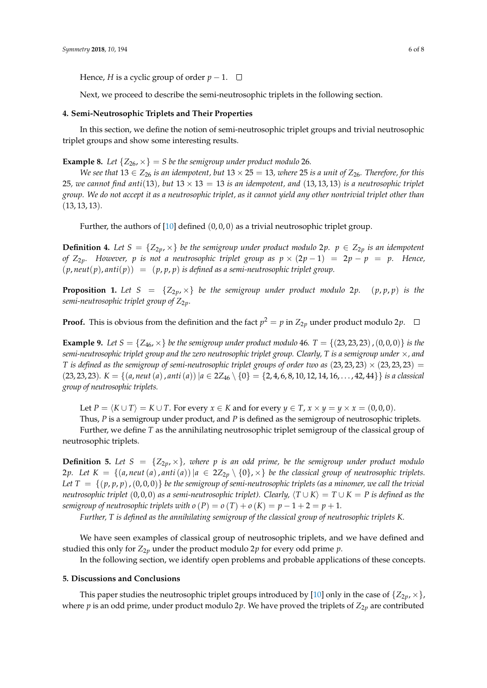Hence, *H* is a cyclic group of order  $p - 1$ . □

Next, we proceed to describe the semi-neutrosophic triplets in the following section.

#### <span id="page-5-0"></span>**4. Semi-Neutrosophic Triplets and Their Properties**

In this section, we define the notion of semi-neutrosophic triplet groups and trivial neutrosophic triplet groups and show some interesting results.

**Example 8.** Let  $\{Z_{26}, \times\} = S$  be the semigroup under product modulo 26.

*We see that*  $13 \in Z_{26}$  *is an idempotent, but*  $13 \times 25 = 13$ *, where*  $25$  *is a unit of*  $Z_{26}$ *. Therefore, for this* 25*, we cannot find anti*(13)*, but*  $13 \times 13 = 13$  *is an idempotent, and* (13, 13, 13) *is a neutrosophic triplet group. We do not accept it as a neutrosophic triplet, as it cannot yield any other nontrivial triplet other than* (13, 13, 13)*.*

Further, the authors of  $[10]$  defined  $(0,0,0)$  as a trivial neutrosophic triplet group.

**Definition 4.** Let  $S = \{Z_{2p}, \times\}$  be the semigroup under product modulo 2p.  $p \in Z_{2p}$  is an idempotent *of Z*2*p. However, p is not a neutrosophic triplet group as p* × (2*p* − 1) = 2*p* − *p* = *p. Hence,*  $(p, \textit{neut}(p), \textit{anti}(p)) = (p, p, p)$  *is defined as a semi-neutrosophic triplet group.* 

**Proposition 1.** Let  $S = \{Z_{2p}, \times\}$  be the semigroup under product modulo 2p. (p, p, p) is the *semi-neutrosophic triplet group of Z*2*p.*

**Proof.** This is obvious from the definition and the fact  $p^2 = p$  in  $Z_{2p}$  under product modulo 2*p*.

**Example 9.** Let  $S = \{Z_{46}, \times\}$  be the semigroup under product modulo 46.  $T = \{(23, 23, 23), (0, 0, 0)\}$  is the *semi-neutrosophic triplet group and the zero neutrosophic triplet group. Clearly, T is a semigroup under* ×*, and T* is defined as the semigroup of semi-neutrosophic triplet groups of order two as  $(23, 23, 23) \times (23, 23, 23) =$ (23, 23, 23).  $K = \{(a, neut(a), anti(a)) | a \in 2Z_{46} \setminus \{0\} = \{2, 4, 6, 8, 10, 12, 14, 16, \ldots, 42, 44\} \}$  *is a classical group of neutrosophic triplets.*

Let  $P = \langle K \cup T \rangle = K \cup T$ . For every  $x \in K$  and for every  $y \in T$ ,  $x \times y = y \times x = (0, 0, 0)$ .

Thus, *P* is a semigroup under product, and *P* is defined as the semigroup of neutrosophic triplets.

Further, we define *T* as the annihilating neutrosophic triplet semigroup of the classical group of neutrosophic triplets.

**Definition 5.** Let  $S = \{Z_{2p}, \times\}$ , where p is an odd prime, be the semigroup under product modulo 2*p.* Let  $K = \{(a, neut(a), anti(a)) | a \in 2Z_{2p} \setminus \{0\}, \times\}$  be the classical group of neutrosophic triplets. *Let*  $T = \{(p, p, p), (0, 0, 0)\}$  *be the semigroup of semi-neutrosophic triplets (as a minomer, we call the trivial neutrosophic triplet* (0, 0, 0) *as a semi-neutrosophic triplet*). Clearly,  $\langle T \cup K \rangle = T \cup K = P$  *is defined as the semigroup of neutrosophic triplets with*  $o(P) = o(T) + o(K) = p - 1 + 2 = p + 1$ *.* 

*Further, T is defined as the annihilating semigroup of the classical group of neutrosophic triplets K.*

We have seen examples of classical group of neutrosophic triplets, and we have defined and studied this only for  $Z_{2p}$  under the product modulo  $2p$  for every odd prime  $p$ .

In the following section, we identify open problems and probable applications of these concepts.

#### **5. Discussions and Conclusions**

This paper studies the neutrosophic triplet groups introduced by [\[10\]](#page-7-0) only in the case of  $\{Z_{2p},\times\}$ , where  $p$  is an odd prime, under product modulo 2 $p$ . We have proved the triplets of  $Z_{2p}$  are contributed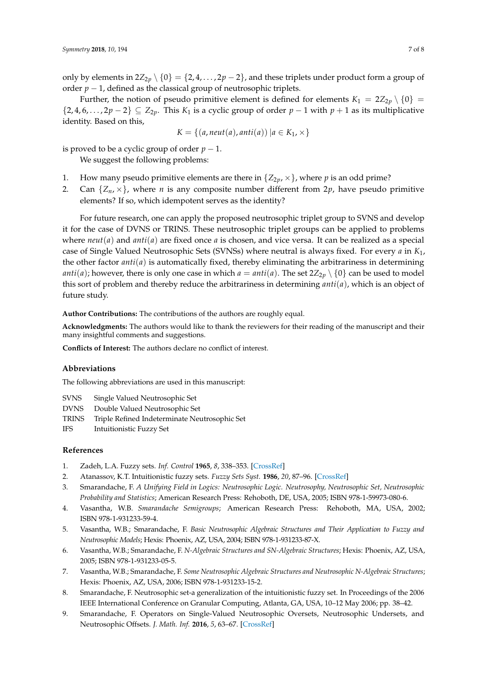only by elements in  $2Z_{2p} \setminus \{0\} = \{2, 4, ..., 2p-2\}$ , and these triplets under product form a group of order  $p - 1$ , defined as the classical group of neutrosophic triplets.

Further, the notion of pseudo primitive element is defined for elements  $K_1 = 2Z_{2p} \setminus \{0\}$ {2, 4, 6, . . . , 2 $p$  − 2} ⊆  $Z_{2p}$ . This  $K_1$  is a cyclic group of order  $p$  − 1 with  $p$  + 1 as its multiplicative identity. Based on this,

$$
K = \{(a, neut(a), anti(a)) \mid a \in K_1, \times\}
$$

is proved to be a cyclic group of order  $p - 1$ .

We suggest the following problems:

- 1. How many pseudo primitive elements are there in  $\{Z_{2p},\times\}$ , where p is an odd prime?
- 2. Can  $\{Z_n, \times\}$ , where *n* is any composite number different from 2*p*, have pseudo primitive elements? If so, which idempotent serves as the identity?

For future research, one can apply the proposed neutrosophic triplet group to SVNS and develop it for the case of DVNS or TRINS. These neutrosophic triplet groups can be applied to problems where  $neut(a)$  and  $anti(a)$  are fixed once *a* is chosen, and vice versa. It can be realized as a special case of Single Valued Neutrosophic Sets (SVNSs) where neutral is always fixed. For every *a* in *K*1, the other factor *anti*(*a*) is automatically fixed, thereby eliminating the arbitrariness in determining *anti*(*a*); however, there is only one case in which  $a = anti(a)$ . The set  $2Z_{2p} \setminus \{0\}$  can be used to model this sort of problem and thereby reduce the arbitrariness in determining *anti*(*a*), which is an object of future study.

**Author Contributions:** The contributions of the authors are roughly equal.

**Acknowledgments:** The authors would like to thank the reviewers for their reading of the manuscript and their many insightful comments and suggestions.

**Conflicts of Interest:** The authors declare no conflict of interest.

#### **Abbreviations**

The following abbreviations are used in this manuscript:

- SVNS Single Valued Neutrosophic Set
- DVNS Double Valued Neutrosophic Set
- TRINS Triple Refined Indeterminate Neutrosophic Set
- IFS Intuitionistic Fuzzy Set

### **References**

- <span id="page-6-1"></span><span id="page-6-0"></span>1. Zadeh, L.A. Fuzzy sets. *Inf. Control* **1965**, *8*, 338–353. [\[CrossRef\]](http://dx.doi.org/10.1016/S0019-9958(65)90241-X)
- 2. Atanassov, K.T. Intuitionistic fuzzy sets. *Fuzzy Sets Syst.* **1986**, *20*, 87–96. [\[CrossRef\]](http://dx.doi.org/10.1016/S0165-0114(86)80034-3)
- <span id="page-6-2"></span>3. Smarandache, F. *A Unifying Field in Logics: Neutrosophic Logic. Neutrosophy, Neutrosophic Set, Neutrosophic Probability and Statistics*; American Research Press: Rehoboth, DE, USA, 2005; ISBN 978-1-59973-080-6.
- <span id="page-6-3"></span>4. Vasantha, W.B. *Smarandache Semigroups*; American Research Press: Rehoboth, MA, USA, 2002; ISBN 978-1-931233-59-4.
- 5. Vasantha, W.B.; Smarandache, F. *Basic Neutrosophic Algebraic Structures and Their Application to Fuzzy and Neutrosophic Models*; Hexis: Phoenix, AZ, USA, 2004; ISBN 978-1-931233-87-X.
- 6. Vasantha, W.B.; Smarandache, F. *N-Algebraic Structures and SN-Algebraic Structures*; Hexis: Phoenix, AZ, USA, 2005; ISBN 978-1-931233-05-5.
- <span id="page-6-4"></span>7. Vasantha, W.B.; Smarandache, F. *Some Neutrosophic Algebraic Structures and Neutrosophic N-Algebraic Structures*; Hexis: Phoenix, AZ, USA, 2006; ISBN 978-1-931233-15-2.
- 8. Smarandache, F. Neutrosophic set-a generalization of the intuitionistic fuzzy set. In Proceedings of the 2006 IEEE International Conference on Granular Computing, Atlanta, GA, USA, 10–12 May 2006; pp. 38–42.
- 9. Smarandache, F. Operators on Single-Valued Neutrosophic Oversets, Neutrosophic Undersets, and Neutrosophic Offsets. *J. Math. Inf.* **2016**, *5*, 63–67. [\[CrossRef\]](http://dx.doi.org/10.5958/2320-3226.2016.00007.2)